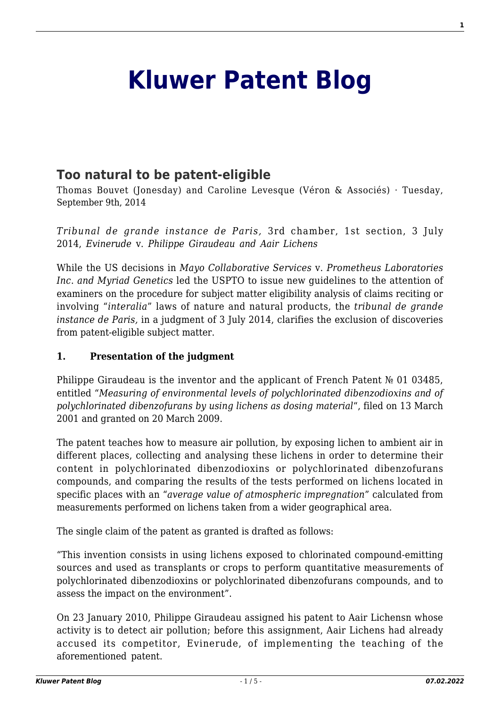# **[Kluwer Patent Blog](http://patentblog.kluweriplaw.com/)**

# **[Too natural to be patent-eligible](http://patentblog.kluweriplaw.com/2014/09/09/too-natural-to-be-patent-eligible/)**

Thomas Bouvet (Jonesday) and Caroline Levesque (Véron & Associés) · Tuesday, September 9th, 2014

*Tribunal de grande instance de Paris,* 3rd chamber, 1st section, 3 July 2014, *Evinerude* v. *Philippe Giraudeau and Aair Lichens*

While the US decisions in *Mayo Collaborative Services* v. *Prometheus Laboratories Inc*. *and Myriad Genetics* led the USPTO to issue new guidelines to the attention of examiners on the procedure for subject matter eligibility analysis of claims reciting or involving "*interalia*" laws of nature and natural products, the *tribunal de grande instance de Paris,* in a judgment of 3 July 2014, clarifies the exclusion of discoveries from patent-eligible subject matter.

#### **1. Presentation of the judgment**

Philippe Giraudeau is the inventor and the applicant of French Patent № 01 03485, entitled "*Measuring of environmental levels of polychlorinated dibenzodioxins and of polychlorinated dibenzofurans by using lichens as dosing material*", filed on 13 March 2001 and granted on 20 March 2009.

The patent teaches how to measure air pollution, by exposing lichen to ambient air in different places, collecting and analysing these lichens in order to determine their content in polychlorinated dibenzodioxins or polychlorinated dibenzofurans compounds, and comparing the results of the tests performed on lichens located in specific places with an "*average value of atmospheric impregnation*" calculated from measurements performed on lichens taken from a wider geographical area.

The single claim of the patent as granted is drafted as follows:

"This invention consists in using lichens exposed to chlorinated compound-emitting sources and used as transplants or crops to perform quantitative measurements of polychlorinated dibenzodioxins or polychlorinated dibenzofurans compounds, and to assess the impact on the environment".

On 23 January 2010, Philippe Giraudeau assigned his patent to Aair Lichensn whose activity is to detect air pollution; before this assignment, Aair Lichens had already accused its competitor, Evinerude, of implementing the teaching of the aforementioned patent.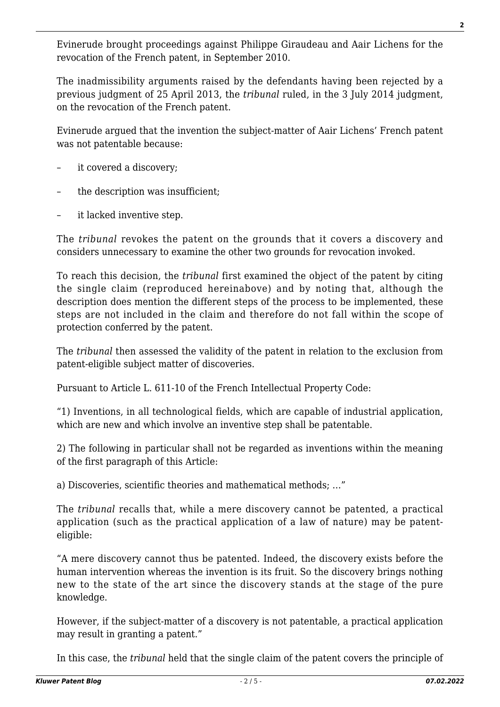Evinerude brought proceedings against Philippe Giraudeau and Aair Lichens for the revocation of the French patent, in September 2010.

The inadmissibility arguments raised by the defendants having been rejected by a previous judgment of 25 April 2013, the *tribunal* ruled, in the 3 July 2014 judgment, on the revocation of the French patent.

Evinerude argued that the invention the subject-matter of Aair Lichens' French patent was not patentable because:

- it covered a discovery;
- the description was insufficient;
- it lacked inventive step.

The *tribunal* revokes the patent on the grounds that it covers a discovery and considers unnecessary to examine the other two grounds for revocation invoked.

To reach this decision, the *tribunal* first examined the object of the patent by citing the single claim (reproduced hereinabove) and by noting that, although the description does mention the different steps of the process to be implemented, these steps are not included in the claim and therefore do not fall within the scope of protection conferred by the patent.

The *tribunal* then assessed the validity of the patent in relation to the exclusion from patent-eligible subject matter of discoveries.

Pursuant to Article L. 611-10 of the French Intellectual Property Code:

"1) Inventions, in all technological fields, which are capable of industrial application, which are new and which involve an inventive step shall be patentable.

2) The following in particular shall not be regarded as inventions within the meaning of the first paragraph of this Article:

a) Discoveries, scientific theories and mathematical methods; …"

The *tribunal* recalls that, while a mere discovery cannot be patented, a practical application (such as the practical application of a law of nature) may be patenteligible:

"A mere discovery cannot thus be patented. Indeed, the discovery exists before the human intervention whereas the invention is its fruit. So the discovery brings nothing new to the state of the art since the discovery stands at the stage of the pure knowledge.

However, if the subject-matter of a discovery is not patentable, a practical application may result in granting a patent."

In this case, the *tribunal* held that the single claim of the patent covers the principle of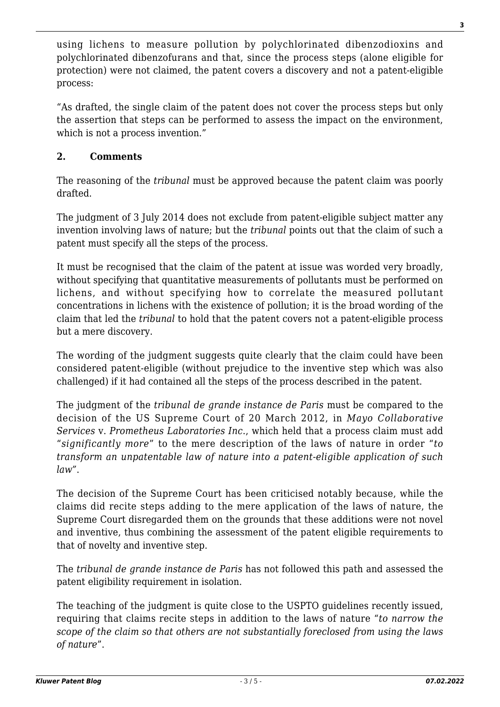using lichens to measure pollution by polychlorinated dibenzodioxins and polychlorinated dibenzofurans and that, since the process steps (alone eligible for protection) were not claimed, the patent covers a discovery and not a patent-eligible process:

"As drafted, the single claim of the patent does not cover the process steps but only the assertion that steps can be performed to assess the impact on the environment, which is not a process invention."

## **2. Comments**

The reasoning of the *tribunal* must be approved because the patent claim was poorly drafted.

The judgment of 3 July 2014 does not exclude from patent-eligible subject matter any invention involving laws of nature; but the *tribunal* points out that the claim of such a patent must specify all the steps of the process.

It must be recognised that the claim of the patent at issue was worded very broadly, without specifying that quantitative measurements of pollutants must be performed on lichens, and without specifying how to correlate the measured pollutant concentrations in lichens with the existence of pollution; it is the broad wording of the claim that led the *tribunal* to hold that the patent covers not a patent-eligible process but a mere discovery.

The wording of the judgment suggests quite clearly that the claim could have been considered patent-eligible (without prejudice to the inventive step which was also challenged) if it had contained all the steps of the process described in the patent.

The judgment of the *tribunal de grande instance de Paris* must be compared to the decision of the US Supreme Court of 20 March 2012, in *Mayo Collaborative Services* v. *Prometheus Laboratories Inc*., which held that a process claim must add "*significantly more*" to the mere description of the laws of nature in order "*to transform an unpatentable law of nature into a patent-eligible application of such law"*.

The decision of the Supreme Court has been criticised notably because, while the claims did recite steps adding to the mere application of the laws of nature, the Supreme Court disregarded them on the grounds that these additions were not novel and inventive, thus combining the assessment of the patent eligible requirements to that of novelty and inventive step.

The *tribunal de grande instance de Paris* has not followed this path and assessed the patent eligibility requirement in isolation.

The teaching of the judgment is quite close to the USPTO guidelines recently issued, requiring that claims recite steps in addition to the laws of nature "*to narrow the scope of the claim so that others are not substantially foreclosed from using the laws of nature*".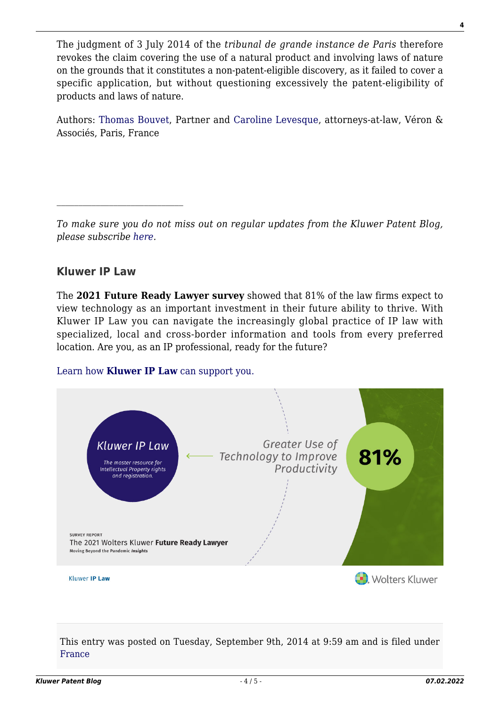The judgment of 3 July 2014 of the *tribunal de grande instance de Paris* therefore revokes the claim covering the use of a natural product and involving laws of nature on the grounds that it constitutes a non-patent-eligible discovery, as it failed to cover a specific application, but without questioning excessively the patent-eligibility of products and laws of nature.

Authors: [Thomas Bouvet,](http://www.veron.com/TBO.aspx) Partner and [Caroline Levesque](http://www.veron.com/CLE.aspx), attorneys-at-law, Véron & Associés, Paris, France

*To make sure you do not miss out on regular updates from the Kluwer Patent Blog, please subscribe [here.](http://patentblog.kluweriplaw.com/newsletter)*

### **Kluwer IP Law**

 $\mathcal{L}_\text{max}$ 

The **2021 Future Ready Lawyer survey** showed that 81% of the law firms expect to view technology as an important investment in their future ability to thrive. With Kluwer IP Law you can navigate the increasingly global practice of IP law with specialized, local and cross-border information and tools from every preferred location. Are you, as an IP professional, ready for the future?

[Learn how](https://www.wolterskluwer.com/en/solutions/kluweriplaw?utm_source=patentblog&utm_medium=articleCTA&utm_campaign=article-banner) **[Kluwer IP Law](https://www.wolterskluwer.com/en/solutions/kluweriplaw?utm_source=patentblog&utm_medium=articleCTA&utm_campaign=article-banner)** [can support you.](https://www.wolterskluwer.com/en/solutions/kluweriplaw?utm_source=patentblog&utm_medium=articleCTA&utm_campaign=article-banner)



This entry was posted on Tuesday, September 9th, 2014 at 9:59 am and is filed under [France](http://patentblog.kluweriplaw.com/category/countries/france/)